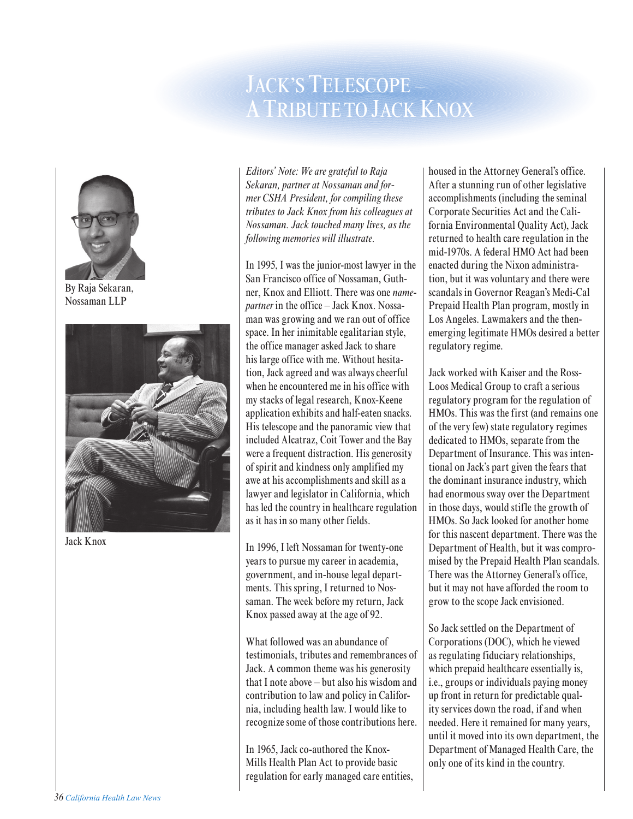## JACK'S TELESCOPE – A TRIBUTE TO JACK KNOX



By Raja Sekaran, Nossaman LLP



Jack Knox

*Editors' Note: We are grateful to Raja Sekaran, partner at Nossaman and former CSHA President, for compiling these tributes to Jack Knox from his colleagues at Nossaman. Jack touched many lives, as the following memories will illustrate.*

In 1995, I was the junior-most lawyer in the San Francisco office of Nossaman, Guthner, Knox and Elliott. There was one *namepartner* in the office – Jack Knox. Nossaman was growing and we ran out of office space. In her inimitable egalitarian style, the office manager asked Jack to share his large office with me. Without hesitation, Jack agreed and was always cheerful when he encountered me in his office with my stacks of legal research, Knox-Keene application exhibits and half-eaten snacks. His telescope and the panoramic view that included Alcatraz, Coit Tower and the Bay were a frequent distraction. His generosity of spirit and kindness only amplified my awe at his accomplishments and skill as a lawyer and legislator in California, which has led the country in healthcare regulation as it has in so many other fields.

In 1996, I left Nossaman for twenty-one years to pursue my career in academia, government, and in-house legal departments. This spring, I returned to Nossaman. The week before my return, Jack Knox passed away at the age of 92.

What followed was an abundance of testimonials, tributes and remembrances of Jack. A common theme was his generosity that I note above – but also his wisdom and contribution to law and policy in California, including health law. I would like to recognize some of those contributions here.

In 1965, Jack co-authored the Knox-Mills Health Plan Act to provide basic regulation for early managed care entities, housed in the Attorney General's office. After a stunning run of other legislative accomplishments (including the seminal Corporate Securities Act and the California Environmental Quality Act), Jack returned to health care regulation in the mid-1970s. A federal HMO Act had been enacted during the Nixon administration, but it was voluntary and there were scandals in Governor Reagan's Medi-Cal Prepaid Health Plan program, mostly in Los Angeles. Lawmakers and the thenemerging legitimate HMOs desired a better regulatory regime.

Jack worked with Kaiser and the Ross-Loos Medical Group to craft a serious regulatory program for the regulation of HMOs. This was the first (and remains one of the very few) state regulatory regimes dedicated to HMOs, separate from the Department of Insurance. This was intentional on Jack's part given the fears that the dominant insurance industry, which had enormous sway over the Department in those days, would stifle the growth of HMOs. So Jack looked for another home for this nascent department. There was the Department of Health, but it was compromised by the Prepaid Health Plan scandals. There was the Attorney General's office, but it may not have afforded the room to grow to the scope Jack envisioned.

So Jack settled on the Department of Corporations (DOC), which he viewed as regulating fiduciary relationships, which prepaid healthcare essentially is, i.e., groups or individuals paying money up front in return for predictable quality services down the road, if and when needed. Here it remained for many years, until it moved into its own department, the Department of Managed Health Care, the only one of its kind in the country.